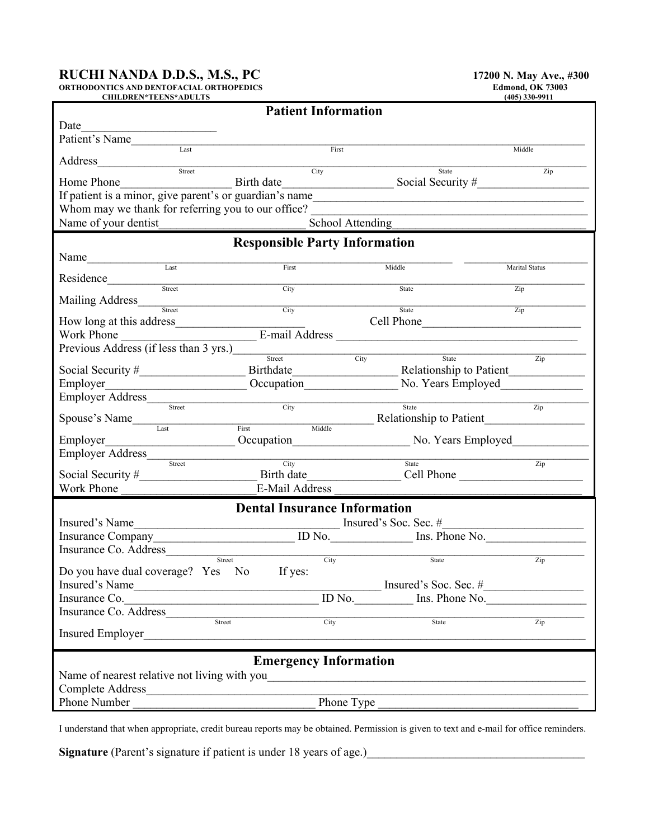## **RUCHI NANDA D.D.S., M.S., PC** 17200 N. May Ave., #300

**ORTHODONTICS AND DENTOFACIAL ORTHOPEDICS Edmond, OK 73003**

| <b>CHILDREN*TEENS*ADULTS</b>                                                                                                                                                                                                        |                                     |                                      | $(405)$ 330-9911 |  |  |  |  |  |  |  |
|-------------------------------------------------------------------------------------------------------------------------------------------------------------------------------------------------------------------------------------|-------------------------------------|--------------------------------------|------------------|--|--|--|--|--|--|--|
|                                                                                                                                                                                                                                     | <b>Patient Information</b>          |                                      |                  |  |  |  |  |  |  |  |
| Date                                                                                                                                                                                                                                |                                     |                                      |                  |  |  |  |  |  |  |  |
|                                                                                                                                                                                                                                     |                                     |                                      |                  |  |  |  |  |  |  |  |
| Patient's Name                                                                                                                                                                                                                      | First                               |                                      | Middle           |  |  |  |  |  |  |  |
|                                                                                                                                                                                                                                     |                                     |                                      |                  |  |  |  |  |  |  |  |
|                                                                                                                                                                                                                                     | City                                | State                                | Zip              |  |  |  |  |  |  |  |
| Home Phone<br>If patient is a minor, give parent's or guardian's name<br>Social Security # Social Security # Social Security # Social Security # Social Security # Social Security # Social Security # Social Security # Social Sec |                                     |                                      |                  |  |  |  |  |  |  |  |
|                                                                                                                                                                                                                                     |                                     |                                      |                  |  |  |  |  |  |  |  |
|                                                                                                                                                                                                                                     |                                     |                                      |                  |  |  |  |  |  |  |  |
| Whom may we thank for referring you to our office?                                                                                                                                                                                  |                                     |                                      |                  |  |  |  |  |  |  |  |
| Name of your dentist                                                                                                                                                                                                                | School Attending                    |                                      |                  |  |  |  |  |  |  |  |
| <b>Responsible Party Information</b>                                                                                                                                                                                                |                                     |                                      |                  |  |  |  |  |  |  |  |
|                                                                                                                                                                                                                                     |                                     |                                      |                  |  |  |  |  |  |  |  |
|                                                                                                                                                                                                                                     |                                     |                                      |                  |  |  |  |  |  |  |  |
|                                                                                                                                                                                                                                     | First                               | Middle                               | Marital Status   |  |  |  |  |  |  |  |
| Residence<br>Street                                                                                                                                                                                                                 | City                                | State                                | $\overline{Zip}$ |  |  |  |  |  |  |  |
|                                                                                                                                                                                                                                     |                                     |                                      |                  |  |  |  |  |  |  |  |
|                                                                                                                                                                                                                                     | City                                | State                                | Zip              |  |  |  |  |  |  |  |
|                                                                                                                                                                                                                                     |                                     |                                      |                  |  |  |  |  |  |  |  |
| How long at this address Cell Phone<br>Work Phone E-mail Address Cell Phone                                                                                                                                                         |                                     |                                      |                  |  |  |  |  |  |  |  |
| Previous Address (if less than 3 yrs.)<br>Brevious Address (if less than 3 yrs.)                                                                                                                                                    |                                     |                                      |                  |  |  |  |  |  |  |  |
|                                                                                                                                                                                                                                     |                                     | State Zip<br>City                    |                  |  |  |  |  |  |  |  |
|                                                                                                                                                                                                                                     |                                     |                                      |                  |  |  |  |  |  |  |  |
|                                                                                                                                                                                                                                     |                                     |                                      |                  |  |  |  |  |  |  |  |
|                                                                                                                                                                                                                                     |                                     |                                      |                  |  |  |  |  |  |  |  |
|                                                                                                                                                                                                                                     |                                     |                                      |                  |  |  |  |  |  |  |  |
| Employer Address Street City                                                                                                                                                                                                        |                                     | State                                | Zip              |  |  |  |  |  |  |  |
| Spouse's Name                                                                                                                                                                                                                       |                                     | First Middle Relationship to Patient |                  |  |  |  |  |  |  |  |
|                                                                                                                                                                                                                                     |                                     |                                      |                  |  |  |  |  |  |  |  |
| Employer Cocupation No. Years Employed                                                                                                                                                                                              |                                     |                                      |                  |  |  |  |  |  |  |  |
| Employer Address                                                                                                                                                                                                                    | City                                | State                                |                  |  |  |  |  |  |  |  |
|                                                                                                                                                                                                                                     |                                     |                                      | $\overline{Zip}$ |  |  |  |  |  |  |  |
|                                                                                                                                                                                                                                     |                                     |                                      |                  |  |  |  |  |  |  |  |
| Work Phone                                                                                                                                                                                                                          | E-Mail Address                      |                                      |                  |  |  |  |  |  |  |  |
|                                                                                                                                                                                                                                     | <b>Dental Insurance Information</b> |                                      |                  |  |  |  |  |  |  |  |
| Insured's Name                                                                                                                                                                                                                      |                                     |                                      |                  |  |  |  |  |  |  |  |
|                                                                                                                                                                                                                                     |                                     | Insured's Soc. Sec. #                |                  |  |  |  |  |  |  |  |
| Insurance Company ID No. Ins. Phone No.                                                                                                                                                                                             |                                     |                                      |                  |  |  |  |  |  |  |  |
|                                                                                                                                                                                                                                     |                                     |                                      |                  |  |  |  |  |  |  |  |
|                                                                                                                                                                                                                                     | City<br>Street                      | State                                | $\overline{Zip}$ |  |  |  |  |  |  |  |
| Do you have dual coverage? Yes No If yes:                                                                                                                                                                                           |                                     |                                      |                  |  |  |  |  |  |  |  |
|                                                                                                                                                                                                                                     |                                     |                                      |                  |  |  |  |  |  |  |  |
| Insurance Co. ID No. Ins. Phone No.                                                                                                                                                                                                 |                                     |                                      |                  |  |  |  |  |  |  |  |
|                                                                                                                                                                                                                                     |                                     |                                      |                  |  |  |  |  |  |  |  |
| Insurance Co. Address Street City                                                                                                                                                                                                   |                                     | State                                | Zip              |  |  |  |  |  |  |  |
| Insured Employer                                                                                                                                                                                                                    |                                     |                                      |                  |  |  |  |  |  |  |  |
|                                                                                                                                                                                                                                     |                                     |                                      |                  |  |  |  |  |  |  |  |
|                                                                                                                                                                                                                                     | <b>Emergency Information</b>        |                                      |                  |  |  |  |  |  |  |  |
|                                                                                                                                                                                                                                     |                                     |                                      |                  |  |  |  |  |  |  |  |
|                                                                                                                                                                                                                                     |                                     |                                      |                  |  |  |  |  |  |  |  |
|                                                                                                                                                                                                                                     |                                     |                                      |                  |  |  |  |  |  |  |  |
| Phone Number                                                                                                                                                                                                                        |                                     | Phone Type                           |                  |  |  |  |  |  |  |  |
|                                                                                                                                                                                                                                     |                                     |                                      |                  |  |  |  |  |  |  |  |

I understand that when appropriate, credit bureau reports may be obtained. Permission is given to text and e-mail for office reminders.

Signature (Parent's signature if patient is under 18 years of age.)<br>
<u>Letting and</u> the state of an analysis of an analysis of age.  $\frac{1}{2}$  and  $\frac{1}{2}$  are stated as  $\frac{1}{2}$  and  $\frac{1}{2}$  are stated as  $\frac{1}{2}$  and